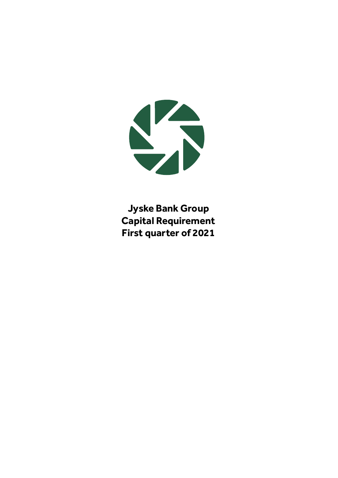

**Jyske Bank Group Capital Requirement First quarter of 2021**